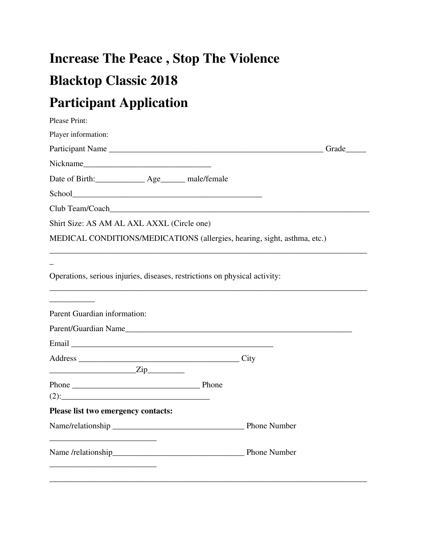## **Increase The Peace , Stop The Violence Blacktop Classic 2018**

## **Participant Application**

| Please Print:                                                              |             |
|----------------------------------------------------------------------------|-------------|
| Player information:                                                        |             |
| Participant Name                                                           | Grade______ |
| Nickname                                                                   |             |
| Date of Birth: _____________ Age______ male/female                         |             |
|                                                                            |             |
|                                                                            |             |
| Shirt Size: AS AM AL AXL AXXL (Circle one)                                 |             |
| MEDICAL CONDITIONS/MEDICATIONS (allergies, hearing, sight, asthma, etc.)   |             |
| Operations, serious injuries, diseases, restrictions on physical activity: |             |
| Parent Guardian information:                                               |             |
|                                                                            |             |
|                                                                            |             |
|                                                                            |             |
| $\overline{\text{Zip}}$                                                    |             |
| Phone Phone                                                                |             |
| $(2)$ :                                                                    |             |
| Please list two emergency contacts:                                        |             |
|                                                                            |             |
|                                                                            |             |
|                                                                            |             |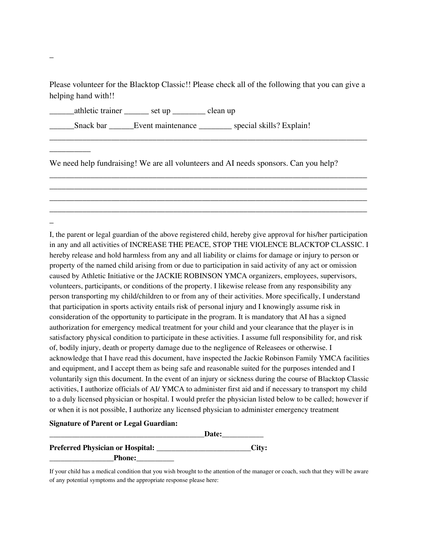Please volunteer for the Blacktop Classic!! Please check all of the following that you can give a helping hand with!!

\_\_\_\_\_\_\_\_\_\_\_\_\_\_\_\_\_\_\_\_\_\_\_\_\_\_\_\_\_\_\_\_\_\_\_\_\_\_\_\_\_\_\_\_\_\_\_\_\_\_\_\_\_\_\_\_\_\_\_\_\_\_\_\_\_\_\_\_\_\_\_\_\_\_\_\_\_

\_\_\_\_\_\_\_\_\_\_\_\_\_\_\_\_\_\_\_\_\_\_\_\_\_\_\_\_\_\_\_\_\_\_\_\_\_\_\_\_\_\_\_\_\_\_\_\_\_\_\_\_\_\_\_\_\_\_\_\_\_\_\_\_\_\_\_\_\_\_\_\_\_\_\_\_\_ \_\_\_\_\_\_\_\_\_\_\_\_\_\_\_\_\_\_\_\_\_\_\_\_\_\_\_\_\_\_\_\_\_\_\_\_\_\_\_\_\_\_\_\_\_\_\_\_\_\_\_\_\_\_\_\_\_\_\_\_\_\_\_\_\_\_\_\_\_\_\_\_\_\_\_\_\_ \_\_\_\_\_\_\_\_\_\_\_\_\_\_\_\_\_\_\_\_\_\_\_\_\_\_\_\_\_\_\_\_\_\_\_\_\_\_\_\_\_\_\_\_\_\_\_\_\_\_\_\_\_\_\_\_\_\_\_\_\_\_\_\_\_\_\_\_\_\_\_\_\_\_\_\_\_ \_\_\_\_\_\_\_\_\_\_\_\_\_\_\_\_\_\_\_\_\_\_\_\_\_\_\_\_\_\_\_\_\_\_\_\_\_\_\_\_\_\_\_\_\_\_\_\_\_\_\_\_\_\_\_\_\_\_\_\_\_\_\_\_\_\_\_\_\_\_\_\_\_\_\_\_\_

\_\_\_\_\_\_athletic trainer \_\_\_\_\_\_ set up \_\_\_\_\_\_\_\_ clean up

\_\_\_\_\_\_Snack bar \_\_\_\_\_\_Event maintenance \_\_\_\_\_\_\_\_ special skills? Explain!

We need help fundraising! We are all volunteers and AI needs sponsors. Can you help?

I, the parent or legal guardian of the above registered child, hereby give approval for his/her participation in any and all activities of INCREASE THE PEACE, STOP THE VIOLENCE BLACKTOP CLASSIC. I hereby release and hold harmless from any and all liability or claims for damage or injury to person or property of the named child arising from or due to participation in said activity of any act or omission caused by Athletic Initiative or the JACKIE ROBINSON YMCA organizers, employees, supervisors, volunteers, participants, or conditions of the property. I likewise release from any responsibility any person transporting my child/children to or from any of their activities. More specifically, I understand that participation in sports activity entails risk of personal injury and I knowingly assume risk in consideration of the opportunity to participate in the program. It is mandatory that AI has a signed authorization for emergency medical treatment for your child and your clearance that the player is in satisfactory physical condition to participate in these activities. I assume full responsibility for, and risk of, bodily injury, death or property damage due to the negligence of Releasees or otherwise. I acknowledge that I have read this document, have inspected the Jackie Robinson Family YMCA facilities and equipment, and I accept them as being safe and reasonable suited for the purposes intended and I voluntarily sign this document. In the event of an injury or sickness during the course of Blacktop Classic activities, I authorize officials of AI/ YMCA to administer first aid and if necessary to transport my child to a duly licensed physician or hospital. I would prefer the physician listed below to be called; however if or when it is not possible, I authorize any licensed physician to administer emergency treatment

## **Signature of Parent or Legal Guardian:**

| Date:                                   |       |
|-----------------------------------------|-------|
| <b>Preferred Physician or Hospital:</b> | City: |
| <b>Phone:</b>                           |       |

If your child has a medical condition that you wish brought to the attention of the manager or coach, such that they will be aware of any potential symptoms and the appropriate response please here:

\_

 $\overline{\phantom{a}}$   $\overline{\phantom{a}}$ 

\_